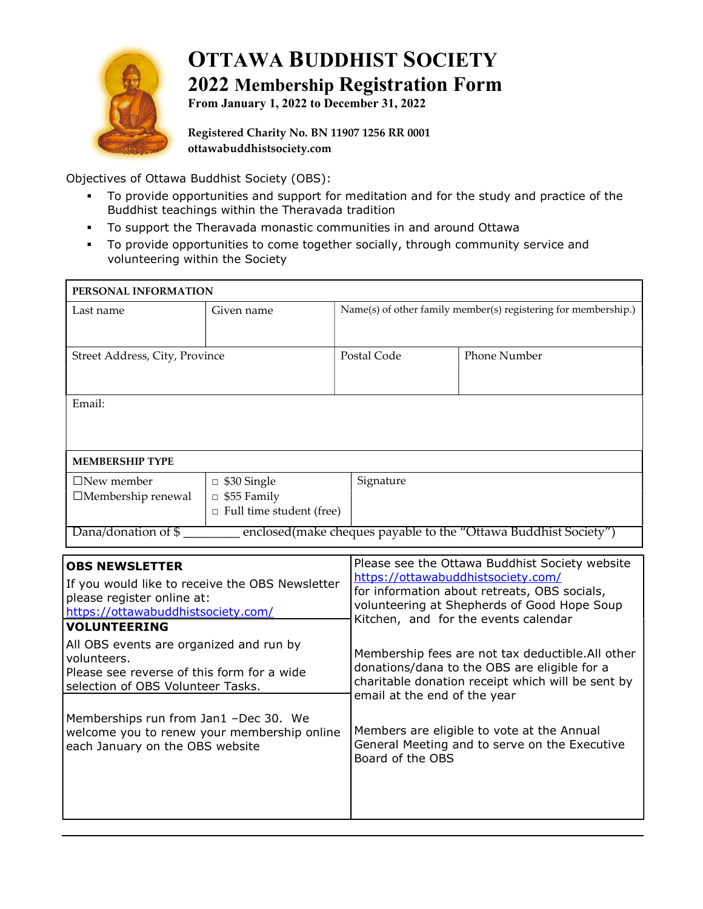

# OTTAWA BUDDHIST SOCIETY 2022 Membership Registration Form

From January 1, 2022 to December 31, 2022

Registered Charity No. BN 11907 1256 RR 0001 ottawabuddhistsociety.com

Objectives of Ottawa Buddhist Society (OBS):

- To provide opportunities and support for meditation and for the study and practice of the Buddhist teachings within the Theravada tradition
- To support the Theravada monastic communities in and around Ottawa
- To provide opportunities to come together socially, through community service and volunteering within the Society

| PERSONAL INFORMATION                                                                                                                                                                                                                                                                                                                                                                                                                        |                                                                             |             |                                                                                                                                                                                                                                                                                                                                                                                                                                                                                                                                          |  |
|---------------------------------------------------------------------------------------------------------------------------------------------------------------------------------------------------------------------------------------------------------------------------------------------------------------------------------------------------------------------------------------------------------------------------------------------|-----------------------------------------------------------------------------|-------------|------------------------------------------------------------------------------------------------------------------------------------------------------------------------------------------------------------------------------------------------------------------------------------------------------------------------------------------------------------------------------------------------------------------------------------------------------------------------------------------------------------------------------------------|--|
| Last name                                                                                                                                                                                                                                                                                                                                                                                                                                   | Given name                                                                  |             | Name(s) of other family member(s) registering for membership.)                                                                                                                                                                                                                                                                                                                                                                                                                                                                           |  |
| Street Address, City, Province                                                                                                                                                                                                                                                                                                                                                                                                              |                                                                             | Postal Code | <b>Phone Number</b>                                                                                                                                                                                                                                                                                                                                                                                                                                                                                                                      |  |
| Email:                                                                                                                                                                                                                                                                                                                                                                                                                                      |                                                                             |             |                                                                                                                                                                                                                                                                                                                                                                                                                                                                                                                                          |  |
| <b>MEMBERSHIP TYPE</b>                                                                                                                                                                                                                                                                                                                                                                                                                      |                                                                             |             |                                                                                                                                                                                                                                                                                                                                                                                                                                                                                                                                          |  |
| $\Box$ New member<br>□Membership renewal                                                                                                                                                                                                                                                                                                                                                                                                    | $\Box$ \$30 Single<br>$\Box$ \$55 Family<br>$\Box$ Full time student (free) | Signature   |                                                                                                                                                                                                                                                                                                                                                                                                                                                                                                                                          |  |
| enclosed(make cheques payable to the "Ottawa Buddhist Society")<br>Dana/donation of \$                                                                                                                                                                                                                                                                                                                                                      |                                                                             |             |                                                                                                                                                                                                                                                                                                                                                                                                                                                                                                                                          |  |
| <b>OBS NEWSLETTER</b><br>If you would like to receive the OBS Newsletter<br>please register online at:<br>https://ottawabuddhistsociety.com/<br><b>VOLUNTEERING</b><br>All OBS events are organized and run by<br>volunteers.<br>Please see reverse of this form for a wide<br>selection of OBS Volunteer Tasks.<br>Memberships run from Jan1 -Dec 30. We<br>welcome you to renew your membership online<br>each January on the OBS website |                                                                             |             | Please see the Ottawa Buddhist Society website<br>https://ottawabuddhistsociety.com/<br>for information about retreats, OBS socials,<br>volunteering at Shepherds of Good Hope Soup<br>Kitchen, and for the events calendar<br>Membership fees are not tax deductible. All other<br>donations/dana to the OBS are eligible for a<br>charitable donation receipt which will be sent by<br>email at the end of the year<br>Members are eligible to vote at the Annual<br>General Meeting and to serve on the Executive<br>Board of the OBS |  |